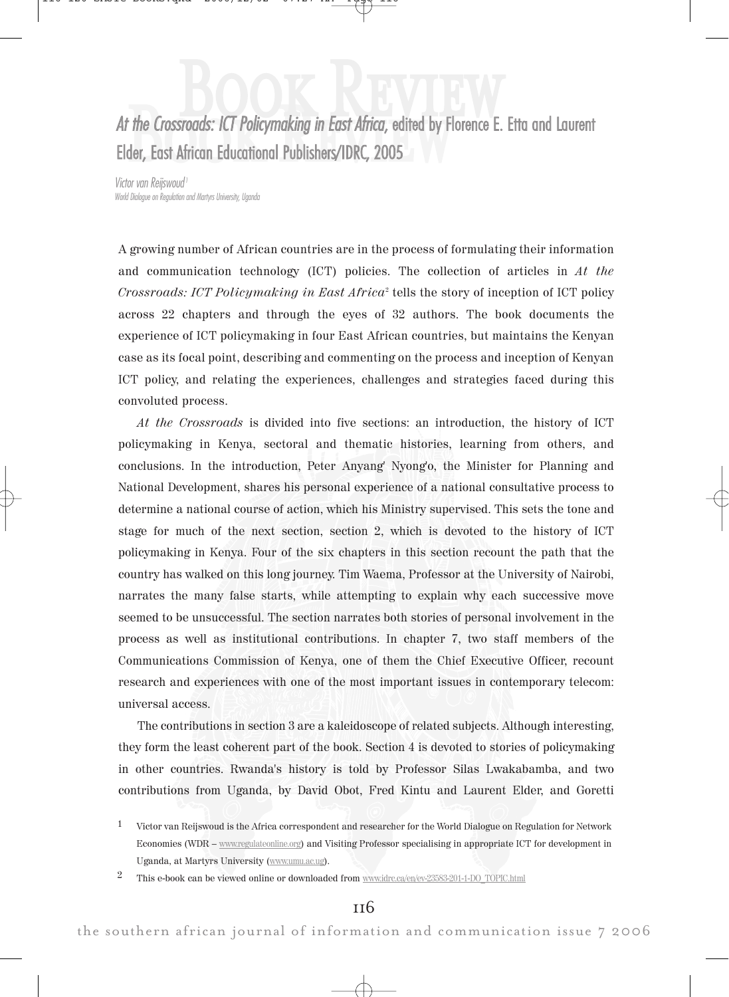#### At the Crossroads: ICT Policymaking in East Africa, edited by F<br>Elder, East African Educational Publishers/IDRC, 2005 B **ENCORE AFTER CONTROLLER CONTROLLER CONTROLLER CONTROLLER CONTROLLER CONTROLLER CONTROLLER CONTROLLER CONTROLLER CONTROLLER CONTROLLER CONTROLLER CONTROLLER CONTROLLER CONTROLLER CONTROLLER CONTROLLER CONTROLLER CONTROLLER** k R e v w Elder, East African Educational Publishers/IDRC, 2005

Victor van Reijswoud<sup>1</sup> World Dialogue on Regulation and Martyrs University, Uganda

A growing number of African countries are in the process of formulating their information and communication technology (ICT) policies. The collection of articles in At the  $Crossroads: ICT Policy making in East Africa<sup>2</sup> tells the story of inception of ICT policy$ across 22 chapters and through the eyes of 32 authors. The book documents the experience of ICT policymaking in four East African countries, but maintains the Kenyan case as its focal point, describing and commenting on the process and inception of Kenyan ICT policy, and relating the experiences, challenges and strategies faced during this convoluted process.

At the Crossroads is divided into five sections: an introduction, the history of ICT policymaking in Kenya, sectoral and thematic histories, learning from others, and conclusions. In the introduction, Peter Anyang' Nyong'o, the Minister for Planning and National Development, shares his personal experience of a national consultative process to determine a national course of action, which his Ministry supervised. This sets the tone and stage for much of the next section, section 2, which is devoted to the history of ICT policymaking in Kenya. Four of the six chapters in this section recount the path that the country has walked on this long journey. Tim Waema, Professor at the University of Nairobi, narrates the many false starts, while attempting to explain why each successive move seemed to be unsuccessful. The section narrates both stories of personal involvement in the process as well as institutional contributions. In chapter 7, two staff members of the Communications Commission of Kenya, one of them the Chief Executive Officer, recount research and experiences with one of the most important issues in contemporary telecom: universal access.

The contributions in section 3 are a kaleidoscope of related subjects. Although interesting, they form the least coherent part of the book. Section 4 is devoted to stories of policymaking in other countries. Rwanda's history is told by Professor Silas Lwakabamba, and two contributions from Uganda, by David Obot, Fred Kintu and Laurent Elder, and Goretti

<sup>1</sup> Victor van Reijswoud is the Africa correspondent and researcher for the World Dialogue on Regulation for Network Economies (WDR – www.regulateonline.org) and Visiting Professor specialising in appropriate ICT for development in Uganda, at Martyrs University (www.umu.ac.ug).

<sup>2</sup> This e-book can be viewed online or downloaded from www.idrc.ca/en/ev-23583-201-1-DO\_TOPIC.html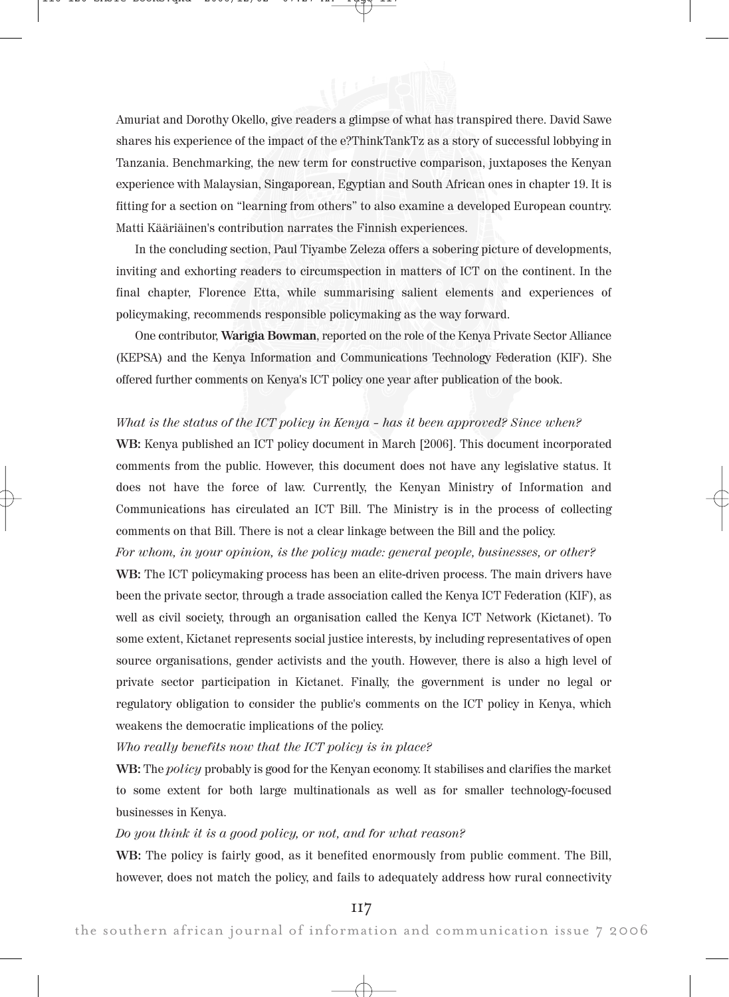Amuriat and Dorothy Okello, give readers a glimpse of what has transpired there. David Sawe shares his experience of the impact of the e?ThinkTankTz as a story of successful lobbying in Tanzania. Benchmarking, the new term for constructive comparison, juxtaposes the Kenyan experience with Malaysian, Singaporean, Egyptian and South African ones in chapter 19. It is fitting for a section on "learning from others" to also examine a developed European country. Matti Kääriäinen's contribution narrates the Finnish experiences.

In the concluding section, Paul Tiyambe Zeleza offers a sobering picture of developments, inviting and exhorting readers to circumspection in matters of ICT on the continent. In the final chapter, Florence Etta, while summarising salient elements and experiences of policymaking, recommends responsible policymaking as the way forward.

One contributor, Warigia Bowman, reported on the role of the Kenya Private Sector Alliance (KEPSA) and the Kenya Information and Communications Technology Federation (KIF). She offered further comments on Kenya's ICT policy one year after publication of the book.

## What is the status of the ICT policy in Kenya - has it been approved? Since when?

WB: Kenya published an ICT policy document in March [2006]. This document incorporated comments from the public. However, this document does not have any legislative status. It does not have the force of law. Currently, the Kenyan Ministry of Information and Communications has circulated an ICT Bill. The Ministry is in the process of collecting comments on that Bill. There is not a clear linkage between the Bill and the policy.

For whom, in your opinion, is the policy made: general people, businesses, or other?

WB: The ICT policymaking process has been an elite-driven process. The main drivers have been the private sector, through a trade association called the Kenya ICT Federation (KIF), as well as civil society, through an organisation called the Kenya ICT Network (Kictanet). To some extent, Kictanet represents social justice interests, by including representatives of open source organisations, gender activists and the youth. However, there is also a high level of private sector participation in Kictanet. Finally, the government is under no legal or regulatory obligation to consider the public's comments on the ICT policy in Kenya, which weakens the democratic implications of the policy.

Who really benefits now that the ICT policy is in place?

WB: The *policy* probably is good for the Kenyan economy. It stabilises and clarifies the market to some extent for both large multinationals as well as for smaller technology-focused businesses in Kenya.

### Do you think it is a good policy, or not, and for what reason?

WB: The policy is fairly good, as it benefited enormously from public comment. The Bill, however, does not match the policy, and fails to adequately address how rural connectivity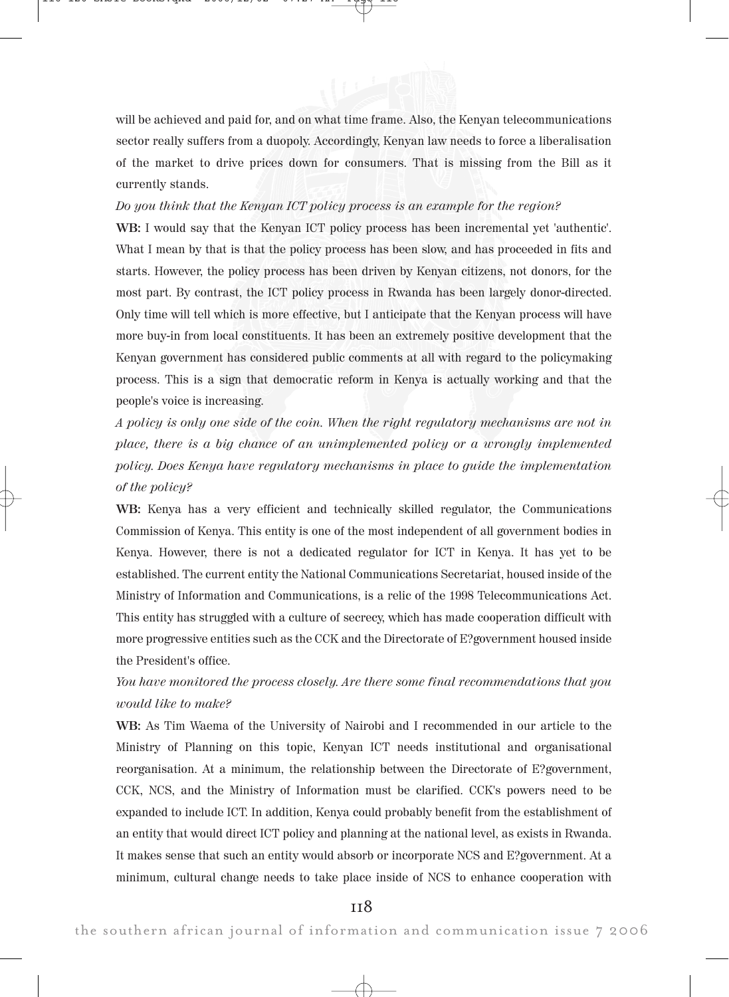

will be achieved and paid for, and on what time frame. Also, the Kenyan telecommunications sector really suffers from a duopoly. Accordingly, Kenyan law needs to force a liberalisation of the market to drive prices down for consumers. That is missing from the Bill as it currently stands.

### Do you think that the Kenyan ICT policy process is an example for the region?

WB: I would say that the Kenyan ICT policy process has been incremental yet 'authentic'. What I mean by that is that the policy process has been slow, and has proceeded in fits and starts. However, the policy process has been driven by Kenyan citizens, not donors, for the most part. By contrast, the ICT policy process in Rwanda has been largely donor-directed. Only time will tell which is more effective, but I anticipate that the Kenyan process will have more buy-in from local constituents. It has been an extremely positive development that the Kenyan government has considered public comments at all with regard to the policymaking process. This is a sign that democratic reform in Kenya is actually working and that the people's voice is increasing.

A policy is only one side of the coin. When the right regulatory mechanisms are not in place, there is a big chance of an unimplemented policy or a wrongly implemented policy. Does Kenya have regulatory mechanisms in place to guide the implementation of the policy?

WB: Kenya has a very efficient and technically skilled regulator, the Communications Commission of Kenya. This entity is one of the most independent of all government bodies in Kenya. However, there is not a dedicated regulator for ICT in Kenya. It has yet to be established. The current entity the National Communications Secretariat, housed inside of the Ministry of Information and Communications, is a relic of the 1998 Telecommunications Act. This entity has struggled with a culture of secrecy, which has made cooperation difficult with more progressive entities such as the CCK and the Directorate of E?government housed inside the President's office.

# You have monitored the process closely. Are there some final recommendations that you would like to make?

WB: As Tim Waema of the University of Nairobi and I recommended in our article to the Ministry of Planning on this topic, Kenyan ICT needs institutional and organisational reorganisation. At a minimum, the relationship between the Directorate of E?government, CCK, NCS, and the Ministry of Information must be clarified. CCK's powers need to be expanded to include ICT. In addition, Kenya could probably benefit from the establishment of an entity that would direct ICT policy and planning at the national level, as exists in Rwanda. It makes sense that such an entity would absorb or incorporate NCS and E?government. At a minimum, cultural change needs to take place inside of NCS to enhance cooperation with